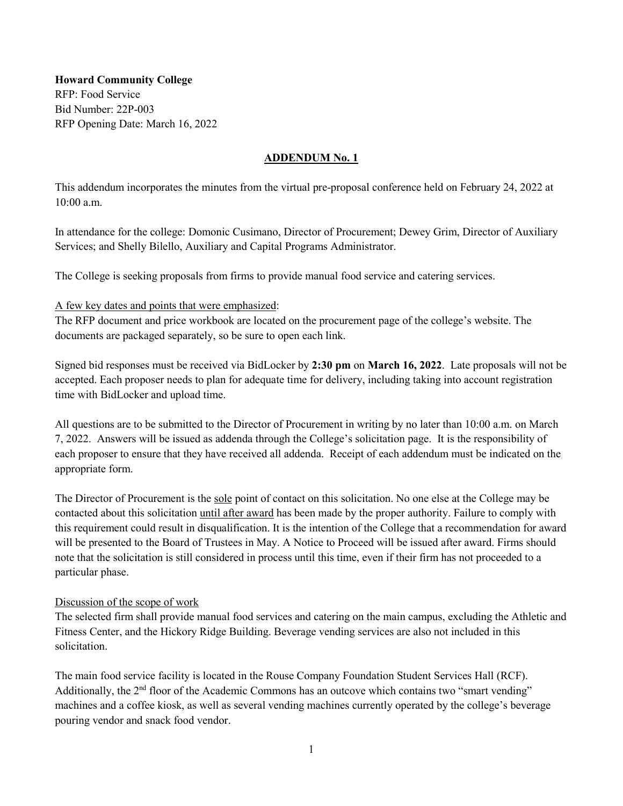**Howard Community College**  RFP: Food Service Bid Number: 22P-003 RFP Opening Date: March 16, 2022

#### **ADDENDUM No. 1**

This addendum incorporates the minutes from the virtual pre-proposal conference held on February 24, 2022 at 10:00 a.m.

In attendance for the college: Domonic Cusimano, Director of Procurement; Dewey Grim, Director of Auxiliary Services; and Shelly Bilello, Auxiliary and Capital Programs Administrator.

The College is seeking proposals from firms to provide manual food service and catering services.

#### A few key dates and points that were emphasized:

The RFP document and price workbook are located on the procurement page of the college's website. The documents are packaged separately, so be sure to open each link.

Signed bid responses must be received via BidLocker by **2:30 pm** on **March 16, 2022**. Late proposals will not be accepted. Each proposer needs to plan for adequate time for delivery, including taking into account registration time with BidLocker and upload time.

All questions are to be submitted to the Director of Procurement in writing by no later than 10:00 a.m. on March 7, 2022. Answers will be issued as addenda through the College's solicitation page. It is the responsibility of each proposer to ensure that they have received all addenda. Receipt of each addendum must be indicated on the appropriate form.

The Director of Procurement is the sole point of contact on this solicitation. No one else at the College may be contacted about this solicitation until after award has been made by the proper authority. Failure to comply with this requirement could result in disqualification. It is the intention of the College that a recommendation for award will be presented to the Board of Trustees in May. A Notice to Proceed will be issued after award. Firms should note that the solicitation is still considered in process until this time, even if their firm has not proceeded to a particular phase.

## Discussion of the scope of work

The selected firm shall provide manual food services and catering on the main campus, excluding the Athletic and Fitness Center, and the Hickory Ridge Building. Beverage vending services are also not included in this solicitation.

The main food service facility is located in the Rouse Company Foundation Student Services Hall (RCF). Additionally, the 2<sup>nd</sup> floor of the Academic Commons has an outcove which contains two "smart vending" machines and a coffee kiosk, as well as several vending machines currently operated by the college's beverage pouring vendor and snack food vendor.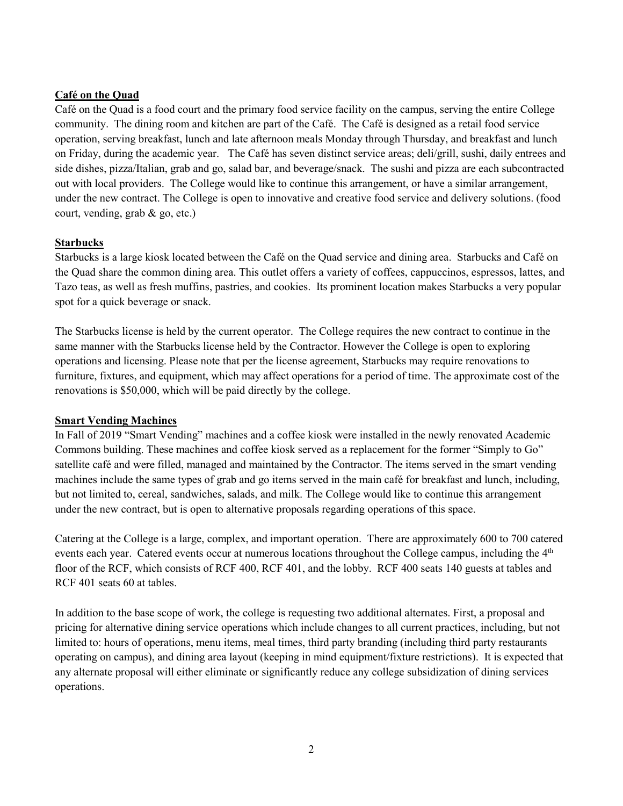## **Café on the Quad**

Café on the Quad is a food court and the primary food service facility on the campus, serving the entire College community. The dining room and kitchen are part of the Café. The Café is designed as a retail food service operation, serving breakfast, lunch and late afternoon meals Monday through Thursday, and breakfast and lunch on Friday, during the academic year. The Café has seven distinct service areas; deli/grill, sushi, daily entrees and side dishes, pizza/Italian, grab and go, salad bar, and beverage/snack. The sushi and pizza are each subcontracted out with local providers. The College would like to continue this arrangement, or have a similar arrangement, under the new contract. The College is open to innovative and creative food service and delivery solutions. (food court, vending, grab & go, etc.)

#### **Starbucks**

Starbucks is a large kiosk located between the Café on the Quad service and dining area. Starbucks and Café on the Quad share the common dining area. This outlet offers a variety of coffees, cappuccinos, espressos, lattes, and Tazo teas, as well as fresh muffins, pastries, and cookies. Its prominent location makes Starbucks a very popular spot for a quick beverage or snack.

The Starbucks license is held by the current operator. The College requires the new contract to continue in the same manner with the Starbucks license held by the Contractor. However the College is open to exploring operations and licensing. Please note that per the license agreement, Starbucks may require renovations to furniture, fixtures, and equipment, which may affect operations for a period of time. The approximate cost of the renovations is \$50,000, which will be paid directly by the college.

#### **Smart Vending Machines**

In Fall of 2019 "Smart Vending" machines and a coffee kiosk were installed in the newly renovated Academic Commons building. These machines and coffee kiosk served as a replacement for the former "Simply to Go" satellite café and were filled, managed and maintained by the Contractor. The items served in the smart vending machines include the same types of grab and go items served in the main café for breakfast and lunch, including, but not limited to, cereal, sandwiches, salads, and milk. The College would like to continue this arrangement under the new contract, but is open to alternative proposals regarding operations of this space.

Catering at the College is a large, complex, and important operation. There are approximately 600 to 700 catered events each year. Catered events occur at numerous locations throughout the College campus, including the 4<sup>th</sup> floor of the RCF, which consists of RCF 400, RCF 401, and the lobby. RCF 400 seats 140 guests at tables and RCF 401 seats 60 at tables.

In addition to the base scope of work, the college is requesting two additional alternates. First, a proposal and pricing for alternative dining service operations which include changes to all current practices, including, but not limited to: hours of operations, menu items, meal times, third party branding (including third party restaurants operating on campus), and dining area layout (keeping in mind equipment/fixture restrictions). It is expected that any alternate proposal will either eliminate or significantly reduce any college subsidization of dining services operations.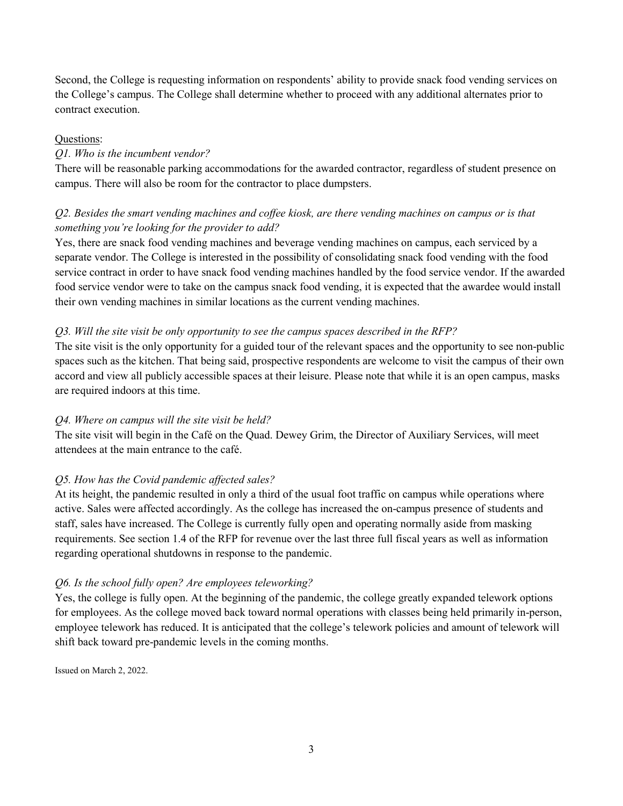Second, the College is requesting information on respondents' ability to provide snack food vending services on the College's campus. The College shall determine whether to proceed with any additional alternates prior to contract execution.

#### Questions:

# *Q1. Who is the incumbent vendor?*

There will be reasonable parking accommodations for the awarded contractor, regardless of student presence on campus. There will also be room for the contractor to place dumpsters.

# *Q2. Besides the smart vending machines and coffee kiosk, are there vending machines on campus or is that something you're looking for the provider to add?*

Yes, there are snack food vending machines and beverage vending machines on campus, each serviced by a separate vendor. The College is interested in the possibility of consolidating snack food vending with the food service contract in order to have snack food vending machines handled by the food service vendor. If the awarded food service vendor were to take on the campus snack food vending, it is expected that the awardee would install their own vending machines in similar locations as the current vending machines.

## *Q3. Will the site visit be only opportunity to see the campus spaces described in the RFP?*

The site visit is the only opportunity for a guided tour of the relevant spaces and the opportunity to see non-public spaces such as the kitchen. That being said, prospective respondents are welcome to visit the campus of their own accord and view all publicly accessible spaces at their leisure. Please note that while it is an open campus, masks are required indoors at this time.

## *Q4. Where on campus will the site visit be held?*

The site visit will begin in the Café on the Quad. Dewey Grim, the Director of Auxiliary Services, will meet attendees at the main entrance to the café.

## *Q5. How has the Covid pandemic affected sales?*

At its height, the pandemic resulted in only a third of the usual foot traffic on campus while operations where active. Sales were affected accordingly. As the college has increased the on-campus presence of students and staff, sales have increased. The College is currently fully open and operating normally aside from masking requirements. See section 1.4 of the RFP for revenue over the last three full fiscal years as well as information regarding operational shutdowns in response to the pandemic.

## *Q6. Is the school fully open? Are employees teleworking?*

Yes, the college is fully open. At the beginning of the pandemic, the college greatly expanded telework options for employees. As the college moved back toward normal operations with classes being held primarily in-person, employee telework has reduced. It is anticipated that the college's telework policies and amount of telework will shift back toward pre-pandemic levels in the coming months.

Issued on March 2, 2022.